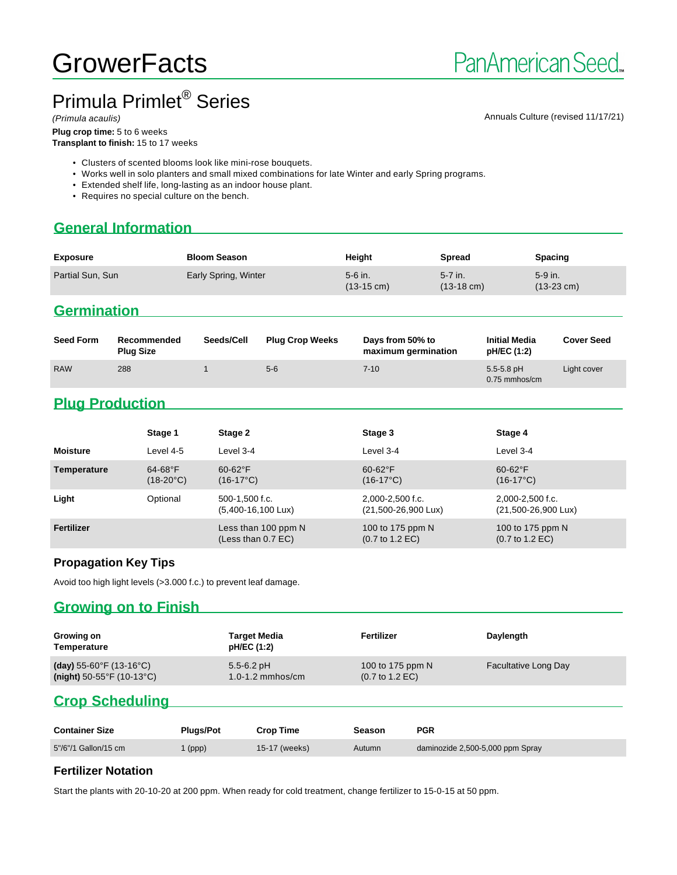# **GrowerFacts**

# Primula Primlet® Series

(Primula acaulis) Annuals Culture (revised 11/17/21)

**Plug crop time:** 5 to 6 weeks **Transplant to finish:** 15 to 17 weeks

- Clusters of scented blooms look like mini-rose bouquets.
- Works well in solo planters and small mixed combinations for late Winter and early Spring programs.
- Extended shelf life, long-lasting as an indoor house plant.
- Requires no special culture on the bench.

# **General Information**

| <b>Exposure</b>  | <b>Bloom Season</b>  | Height                          | <b>Spread</b>                   | <b>Spacing</b>                    |
|------------------|----------------------|---------------------------------|---------------------------------|-----------------------------------|
| Partial Sun, Sun | Early Spring, Winter | 5-6 in.<br>$(13-15 \text{ cm})$ | 5-7 in.<br>$(13-18 \text{ cm})$ | $5-9$ in.<br>$(13-23 \text{ cm})$ |

### **Germination**

| <b>Seed Form</b> | Recommended<br><b>Plug Size</b> | Seeds/Cell | <b>Plug Crop Weeks</b> | Days from 50% to<br>maximum germination | <b>Initial Media</b><br>pH/EC (1:2) | <b>Cover Seed</b> |
|------------------|---------------------------------|------------|------------------------|-----------------------------------------|-------------------------------------|-------------------|
| <b>RAW</b>       | 288                             |            | $5-6$                  | $7 - 10$                                | $5.5 - 5.8$ pH<br>0.75 mmhos/cm     | Light cover       |

# **Plug Production**

|                 | Stage 1                          | Stage 2                                        | Stage 3                                                | Stage 4                                                |
|-----------------|----------------------------------|------------------------------------------------|--------------------------------------------------------|--------------------------------------------------------|
| <b>Moisture</b> | Level 4-5                        | Level 3-4                                      | Level 3-4                                              | Level 3-4                                              |
| Temperature     | $64-68$ °F<br>$(18-20^{\circ}C)$ | $60-62$ °F<br>$(16-17^{\circ}C)$               | $60 - 62$ °F<br>$(16-17^{\circ}C)$                     | $60-62$ °F<br>$(16-17^{\circ}C)$                       |
| Light           | Optional                         | 500-1.500 f.c.<br>$(5,400-16,100 \text{ Lux})$ | 2,000-2,500 f.c.<br>(21,500-26,900 Lux)                | 2,000-2,500 f.c.<br>(21,500-26,900 Lux)                |
| Fertilizer      |                                  | Less than 100 ppm N<br>(Less than 0.7 EC)      | 100 to 175 ppm N<br>$(0.7 \text{ to } 1.2 \text{ EC})$ | 100 to 175 ppm N<br>$(0.7 \text{ to } 1.2 \text{ EC})$ |

#### **Propagation Key Tips**

Avoid too high light levels (>3.000 f.c.) to prevent leaf damage.

#### **Growing on to Finish**

| Growing on<br>Temperature                      | Target Media<br>pH/EC (1:2) | Fertilizer                         | Daylength                   |
|------------------------------------------------|-----------------------------|------------------------------------|-----------------------------|
| (day) 55-60°F (13-16°C)                        | $5.5 - 6.2$ pH              | 100 to 175 ppm N                   | <b>Facultative Long Day</b> |
| (night) $50-55^{\circ}$ F (10-13 $^{\circ}$ C) | $1.0 - 1.2$ mmhos/cm        | $(0.7 \text{ to } 1.2 \text{ EC})$ |                             |

# **Crop Scheduling**

| <b>Container Size</b> | <b>Pluas/Pot</b> | <b>Crop Time</b> | Season | <b>PGR</b>                       |
|-----------------------|------------------|------------------|--------|----------------------------------|
| 5"/6"/1 Gallon/15 cm  | (ppp)            | 15-17 (weeks)    | Autumn | daminozide 2,500-5,000 ppm Spray |

#### **Fertilizer Notation**

Start the plants with 20-10-20 at 200 ppm. When ready for cold treatment, change fertilizer to 15-0-15 at 50 ppm.